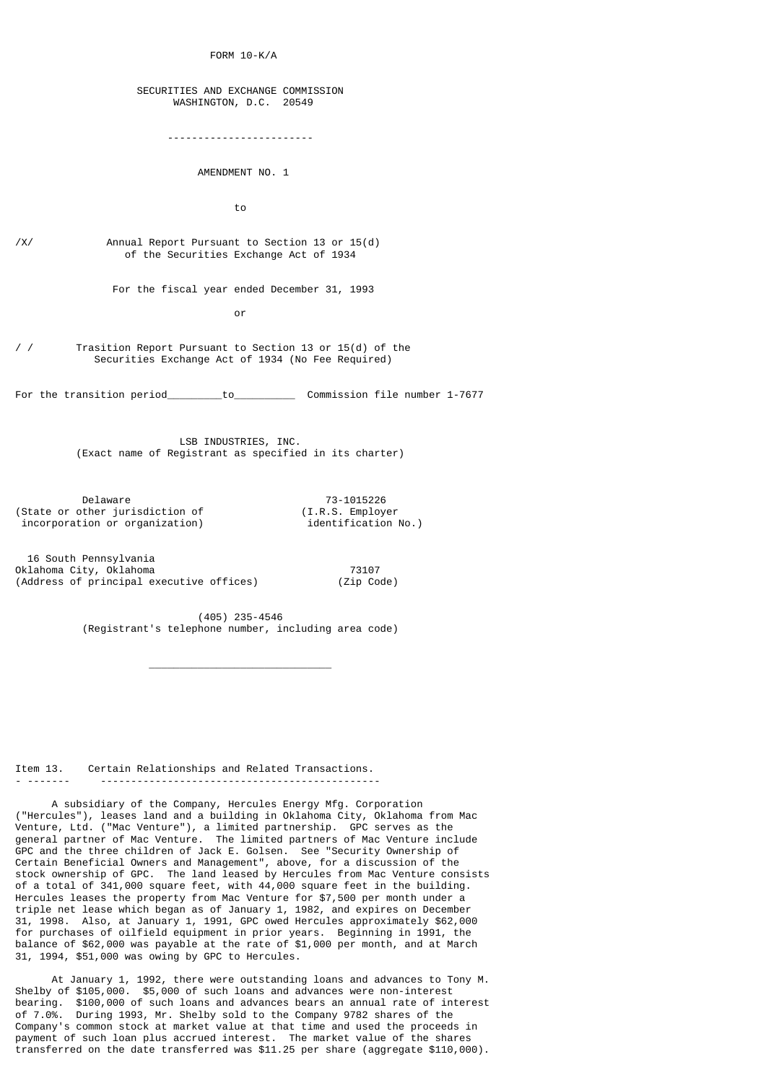FORM 10-K/A

## SECURITIES AND EXCHANGE COMMISSION WASHINGTON, D.C. 20549

------------------------

#### AMENDMENT NO. 1

to

/X/ Annual Report Pursuant to Section 13 or 15(d) of the Securities Exchange Act of 1934

For the fiscal year ended December 31, 1993

or and the state of the state of the state of the state of the state of the state of the state of the state of the state of the state of the state of the state of the state of the state of the state of the state of the sta

/ / Trasition Report Pursuant to Section 13 or 15(d) of the Securities Exchange Act of 1934 (No Fee Required)

For the transition period\_\_\_\_\_\_\_\_to\_\_\_\_\_\_\_\_\_\_\_\_\_ Commission file number 1-7677

 LSB INDUSTRIES, INC. (Exact name of Registrant as specified in its charter)

Delaware 73-1015226<br>Delaware 73-1015226 (I.R.S. Employer (State or other jurisdiction of  $(1.R.S. \n \text{Employee} \n \text{incorporation or organization} \n \text{of} \n \text{identification No.}$ incorporation or organization)

 $\mathcal{L}_\text{max}$  and  $\mathcal{L}_\text{max}$  and  $\mathcal{L}_\text{max}$  are the contract of  $\mathcal{L}_\text{max}$ 

 16 South Pennsylvania Oklahoma City, Oklahoma 73107 (Address of principal executive offices) (Zip Code)

> (405) 235-4546 (Registrant's telephone number, including area code)

Item 13. Certain Relationships and Related Transactions. - ------- ----------------------------------------------

 A subsidiary of the Company, Hercules Energy Mfg. Corporation ("Hercules"), leases land and a building in Oklahoma City, Oklahoma from Mac Venture, Ltd. ("Mac Venture"), a limited partnership. GPC serves as the general partner of Mac Venture. The limited partners of Mac Venture include GPC and the three children of Jack E. Golsen. See "Security Ownership of Certain Beneficial Owners and Management", above, for a discussion of the stock ownership of GPC. The land leased by Hercules from Mac Venture consists of a total of 341,000 square feet, with 44,000 square feet in the building. Hercules leases the property from Mac Venture for \$7,500 per month under a triple net lease which began as of January 1, 1982, and expires on December 31, 1998. Also, at January 1, 1991, GPC owed Hercules approximately \$62,000 for purchases of oilfield equipment in prior years. Beginning in 1991, the balance of \$62,000 was payable at the rate of \$1,000 per month, and at March 31, 1994, \$51,000 was owing by GPC to Hercules.

 At January 1, 1992, there were outstanding loans and advances to Tony M. Shelby of \$105,000. \$5,000 of such loans and advances were non-interest bearing. \$100,000 of such loans and advances bears an annual rate of interest of 7.0%. During 1993, Mr. Shelby sold to the Company 9782 shares of the Company's common stock at market value at that time and used the proceeds in payment of such loan plus accrued interest. The market value of the shares transferred on the date transferred was \$11.25 per share (aggregate \$110,000).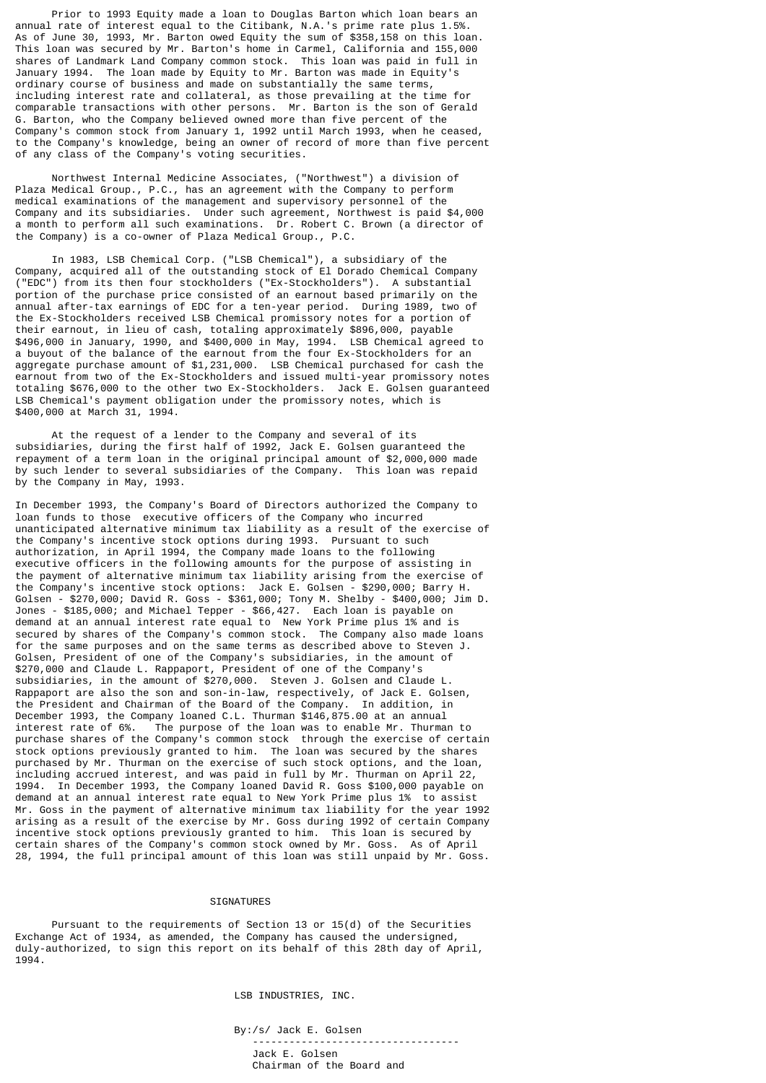Prior to 1993 Equity made a loan to Douglas Barton which loan bears an annual rate of interest equal to the Citibank, N.A.'s prime rate plus 1.5%. As of June 30, 1993, Mr. Barton owed Equity the sum of \$358,158 on this loan. This loan was secured by Mr. Barton's home in Carmel, California and 155,000 shares of Landmark Land Company common stock. This loan was paid in full in January 1994. The loan made by Equity to Mr. Barton was made in Equity's ordinary course of business and made on substantially the same terms, including interest rate and collateral, as those prevailing at the time for comparable transactions with other persons. Mr. Barton is the son of Gerald G. Barton, who the Company believed owned more than five percent of the Company's common stock from January 1, 1992 until March 1993, when he ceased, to the Company's knowledge, being an owner of record of more than five percent of any class of the Company's voting securities.

 Northwest Internal Medicine Associates, ("Northwest") a division of Plaza Medical Group., P.C., has an agreement with the Company to perform medical examinations of the management and supervisory personnel of the Company and its subsidiaries. Under such agreement, Northwest is paid \$4,000 a month to perform all such examinations. Dr. Robert C. Brown (a director of the Company) is a co-owner of Plaza Medical Group., P.C.

 In 1983, LSB Chemical Corp. ("LSB Chemical"), a subsidiary of the Company, acquired all of the outstanding stock of El Dorado Chemical Company ("EDC") from its then four stockholders ("Ex-Stockholders"). A substantial portion of the purchase price consisted of an earnout based primarily on the annual after-tax earnings of EDC for a ten-year period. During 1989, two of the Ex-Stockholders received LSB Chemical promissory notes for a portion of their earnout, in lieu of cash, totaling approximately \$896,000, payable \$496,000 in January, 1990, and \$400,000 in May, 1994. LSB Chemical agreed to a buyout of the balance of the earnout from the four Ex-Stockholders for an aggregate purchase amount of \$1,231,000. LSB Chemical purchased for cash the earnout from two of the Ex-Stockholders and issued multi-year promissory notes totaling \$676,000 to the other two Ex-Stockholders. Jack E. Golsen guaranteed LSB Chemical's payment obligation under the promissory notes, which is \$400,000 at March 31, 1994.

 At the request of a lender to the Company and several of its subsidiaries, during the first half of 1992, Jack E. Golsen guaranteed the repayment of a term loan in the original principal amount of \$2,000,000 made by such lender to several subsidiaries of the Company. This loan was repaid by the Company in May, 1993.

In December 1993, the Company's Board of Directors authorized the Company to loan funds to those executive officers of the Company who incurred unanticipated alternative minimum tax liability as a result of the exercise of the Company's incentive stock options during 1993. Pursuant to such authorization, in April 1994, the Company made loans to the following executive officers in the following amounts for the purpose of assisting in the payment of alternative minimum tax liability arising from the exercise of the Company's incentive stock options: Jack E. Golsen - \$290,000; Barry H. Golsen - \$270,000; David R. Goss - \$361,000; Tony M. Shelby - \$400,000; Jim D. Jones - \$185,000; and Michael Tepper - \$66,427. Each loan is payable on demand at an annual interest rate equal to New York Prime plus 1% and is secured by shares of the Company's common stock. The Company also made loans for the same purposes and on the same terms as described above to Steven J. Golsen, President of one of the Company's subsidiaries, in the amount of \$270,000 and Claude L. Rappaport, President of one of the Company's subsidiaries, in the amount of \$270,000. Steven J. Golsen and Claude L. Rappaport are also the son and son-in-law, respectively, of Jack E. Golsen, the President and Chairman of the Board of the Company. In addition, in December 1993, the Company loaned C.L. Thurman \$146,875.00 at an annual interest rate of 6%. The purpose of the loan was to enable Mr. Thurman to purchase shares of the Company's common stock through the exercise of certain stock options previously granted to him. The loan was secured by the shares purchased by Mr. Thurman on the exercise of such stock options, and the loan, including accrued interest, and was paid in full by Mr. Thurman on April 22, 1994. In December 1993, the Company loaned David R. Goss \$100,000 payable on demand at an annual interest rate equal to New York Prime plus 1% to assist Mr. Goss in the payment of alternative minimum tax liability for the year 1992 arising as a result of the exercise by Mr. Goss during 1992 of certain Company incentive stock options previously granted to him. This loan is secured by certain shares of the Company's common stock owned by Mr. Goss. As of April 28, 1994, the full principal amount of this loan was still unpaid by Mr. Goss.

#### **STGNATURES**

 Pursuant to the requirements of Section 13 or 15(d) of the Securities Exchange Act of 1934, as amended, the Company has caused the undersigned, duly-authorized, to sign this report on its behalf of this 28th day of April, 1994.

LSB INDUSTRIES, INC.

By:/s/ Jack E. Golsen

 ---------------------------------- Jack E. Golsen

Chairman of the Board and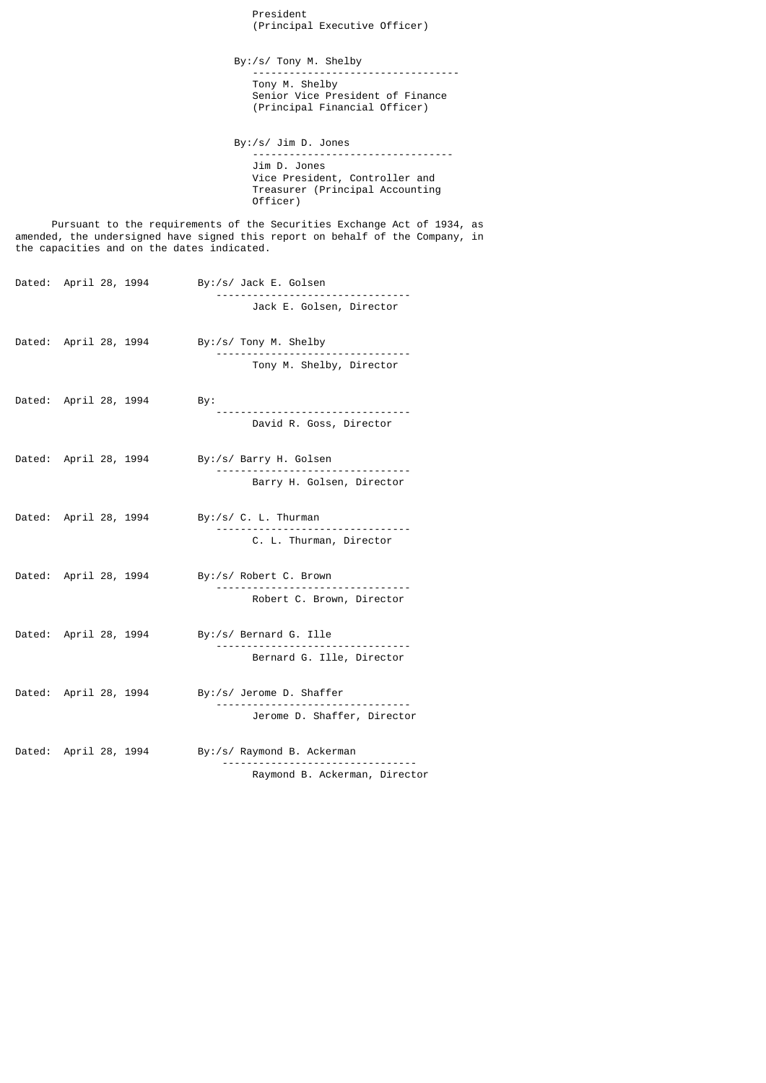President (Principal Executive Officer)

 By:/s/ Tony M. Shelby ---------------------------------- Tony M. Shelby Senior Vice President of Finance (Principal Financial Officer)

 By:/s/ Jim D. Jones --------------------------------- Jim D. Jones Vice President, Controller and Treasurer (Principal Accounting Officer)

 Pursuant to the requirements of the Securities Exchange Act of 1934, as amended, the undersigned have signed this report on behalf of the Company, in the capacities and on the dates indicated.

|                       | Dated: April 28, 1994 | By:/s/ Jack E. Golsen     |
|-----------------------|-----------------------|---------------------------|
|                       |                       | Jack E. Golsen, Director  |
|                       | Dated: April 28, 1994 | By:/s/ Tony M. Shelby     |
|                       |                       | Tony M. Shelby, Director  |
| Dated: April 28, 1994 |                       | By:                       |
|                       |                       | David R. Goss, Director   |
|                       | Dated: April 28, 1994 | By:/s/ Barry H. Golsen    |
|                       |                       | Barry H. Golsen, Director |
| Dated: April 28, 1994 |                       | By:/s/ C. L. Thurman      |
|                       |                       | C. L. Thurman, Director   |
| Dated: April 28, 1994 |                       | By:/s/ Robert C. Brown    |
|                       |                       | Robert C. Brown, Director |
|                       | Dated: April 28, 1994 | By:/s/ Bernard G. Ille    |
|                       |                       | Bernard G. Ille, Director |

Dated: April 28, 1994 By:/s/ Jerome D. Shaffer -------------------------------- Jerome D. Shaffer, Director

Dated: April 28, 1994 By:/s/ Raymond B. Ackerman -------------------------------- Raymond B. Ackerman, Director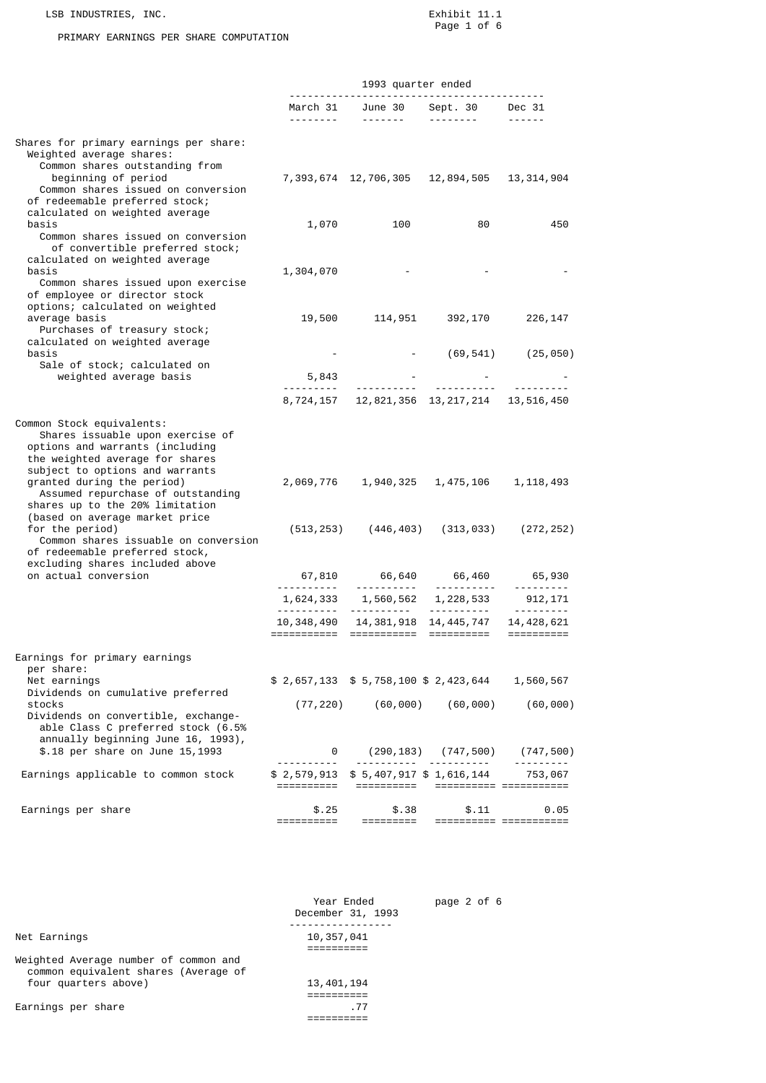LSB INDUSTRIES, INC.<br>
Exhibit 11.1<br>
Page 1 of 6 Page 1 of 6

#### PRIMARY EARNINGS PER SHARE COMPUTATION

|                                                                                                                                                                                                                                                                                                                                                                                                                                                                        |                               | 1993 quarter ended                                         |                           |                                                                                                                                                                                                                                                                                                                                                                                                                                                                            |  |
|------------------------------------------------------------------------------------------------------------------------------------------------------------------------------------------------------------------------------------------------------------------------------------------------------------------------------------------------------------------------------------------------------------------------------------------------------------------------|-------------------------------|------------------------------------------------------------|---------------------------|----------------------------------------------------------------------------------------------------------------------------------------------------------------------------------------------------------------------------------------------------------------------------------------------------------------------------------------------------------------------------------------------------------------------------------------------------------------------------|--|
|                                                                                                                                                                                                                                                                                                                                                                                                                                                                        |                               | March 31 June 30<br>-------- -------                       | Sept. 30 Dec 31           | $\frac{1}{2} \left( \frac{1}{2} \right) \left( \frac{1}{2} \right) \left( \frac{1}{2} \right) \left( \frac{1}{2} \right) \left( \frac{1}{2} \right) \left( \frac{1}{2} \right) \left( \frac{1}{2} \right) \left( \frac{1}{2} \right) \left( \frac{1}{2} \right) \left( \frac{1}{2} \right) \left( \frac{1}{2} \right) \left( \frac{1}{2} \right) \left( \frac{1}{2} \right) \left( \frac{1}{2} \right) \left( \frac{1}{2} \right) \left( \frac{1}{2} \right) \left( \frac$ |  |
| Shares for primary earnings per share:<br>Weighted average shares:<br>Common shares outstanding from<br>beginning of period<br>Common shares issued on conversion<br>of redeemable preferred stock;                                                                                                                                                                                                                                                                    |                               | 7, 393, 674 12, 706, 305 12, 894, 505 13, 314, 904         |                           |                                                                                                                                                                                                                                                                                                                                                                                                                                                                            |  |
| calculated on weighted average<br>basis<br>Common shares issued on conversion<br>of convertible preferred stock;                                                                                                                                                                                                                                                                                                                                                       |                               | 1,070<br>100                                               | 80                        | 450                                                                                                                                                                                                                                                                                                                                                                                                                                                                        |  |
| calculated on weighted average<br>basis<br>Common shares issued upon exercise<br>of employee or director stock                                                                                                                                                                                                                                                                                                                                                         | 1,304,070                     |                                                            |                           |                                                                                                                                                                                                                                                                                                                                                                                                                                                                            |  |
| options; calculated on weighted<br>average basis<br>Purchases of treasury stock;<br>calculated on weighted average                                                                                                                                                                                                                                                                                                                                                     | 19,500                        |                                                            | 114,951 392,170           | 226,147                                                                                                                                                                                                                                                                                                                                                                                                                                                                    |  |
| basis<br>Sale of stock; calculated on<br>weighted average basis                                                                                                                                                                                                                                                                                                                                                                                                        | 5,843                         |                                                            |                           | $(69, 541)$ $(25, 050)$                                                                                                                                                                                                                                                                                                                                                                                                                                                    |  |
|                                                                                                                                                                                                                                                                                                                                                                                                                                                                        | <u> - - - - - - - - -</u>     | 8,724,157 12,821,356 13,217,214 13,516,450                 |                           |                                                                                                                                                                                                                                                                                                                                                                                                                                                                            |  |
| Common Stock equivalents:<br>Shares issuable upon exercise of<br>options and warrants (including<br>the weighted average for shares<br>subject to options and warrants<br>granted during the period)<br>Assumed repurchase of outstanding<br>shares up to the 20% limitation<br>(based on average market price<br>for the period)<br>Common shares issuable on conversion<br>of redeemable preferred stock,<br>excluding shares included above<br>on actual conversion | (513,253)                     | 2,069,776 1,940,325<br>(446,403)                           | (313, 033)                | 1, 475, 106 1, 118, 493<br>(272, 252)                                                                                                                                                                                                                                                                                                                                                                                                                                      |  |
|                                                                                                                                                                                                                                                                                                                                                                                                                                                                        | <u> - - - - - - - - - -</u>   | 67,810 66,640 66,460 65,930<br><u> - - - - - - - - - -</u> | <u>.</u> .                | <u> - - - - - - - -</u>                                                                                                                                                                                                                                                                                                                                                                                                                                                    |  |
|                                                                                                                                                                                                                                                                                                                                                                                                                                                                        | <u> - - - - - - - - - - -</u> | 1,624,333 1,560,562                                        | 1, 228, 533<br><u>.</u> . | 912,171<br><u>.</u>                                                                                                                                                                                                                                                                                                                                                                                                                                                        |  |
|                                                                                                                                                                                                                                                                                                                                                                                                                                                                        |                               | 10, 348, 490  14, 381, 918  14, 445, 747                   |                           | 14, 428, 621<br>$=$ ==========                                                                                                                                                                                                                                                                                                                                                                                                                                             |  |
| Earnings for primary earnings<br>per share:                                                                                                                                                                                                                                                                                                                                                                                                                            |                               |                                                            |                           |                                                                                                                                                                                                                                                                                                                                                                                                                                                                            |  |
| Net earnings<br>Dividends on cumulative preferred<br>stocks                                                                                                                                                                                                                                                                                                                                                                                                            | (77, 220)                     | \$2,657,133 \$5,758,100 \$2,423,644<br>(60, 000)           | (60, 000)                 | 1,560,567<br>(60, 000)                                                                                                                                                                                                                                                                                                                                                                                                                                                     |  |
| Dividends on convertible, exchange-<br>able Class C preferred stock (6.5%<br>annually beginning June 16, 1993),<br>\$.18 per share on June 15,1993                                                                                                                                                                                                                                                                                                                     | 0                             | (290,183)                                                  | (747,500)                 | (747, 500)                                                                                                                                                                                                                                                                                                                                                                                                                                                                 |  |
| Earnings applicable to common stock                                                                                                                                                                                                                                                                                                                                                                                                                                    | \$2,579,913<br>==========     | \$ 5,407,917 \$ 1,616,144<br>==========                    |                           | 753,067                                                                                                                                                                                                                                                                                                                                                                                                                                                                    |  |
| Earnings per share                                                                                                                                                                                                                                                                                                                                                                                                                                                     | \$.25<br>==========           | \$.38<br>=========                                         | \$.11                     | 0.05                                                                                                                                                                                                                                                                                                                                                                                                                                                                       |  |

|                                                                               | Year Ended<br>December 31, 1993 | page 2 of 6 |
|-------------------------------------------------------------------------------|---------------------------------|-------------|
| Net Earnings                                                                  | 10,357,041                      |             |
|                                                                               |                                 |             |
| Weighted Average number of common and<br>common equivalent shares (Average of |                                 |             |
| four quarters above)                                                          | 13, 401, 194                    |             |
|                                                                               |                                 |             |
| Earnings per share                                                            | .77                             |             |
|                                                                               |                                 |             |
|                                                                               |                                 |             |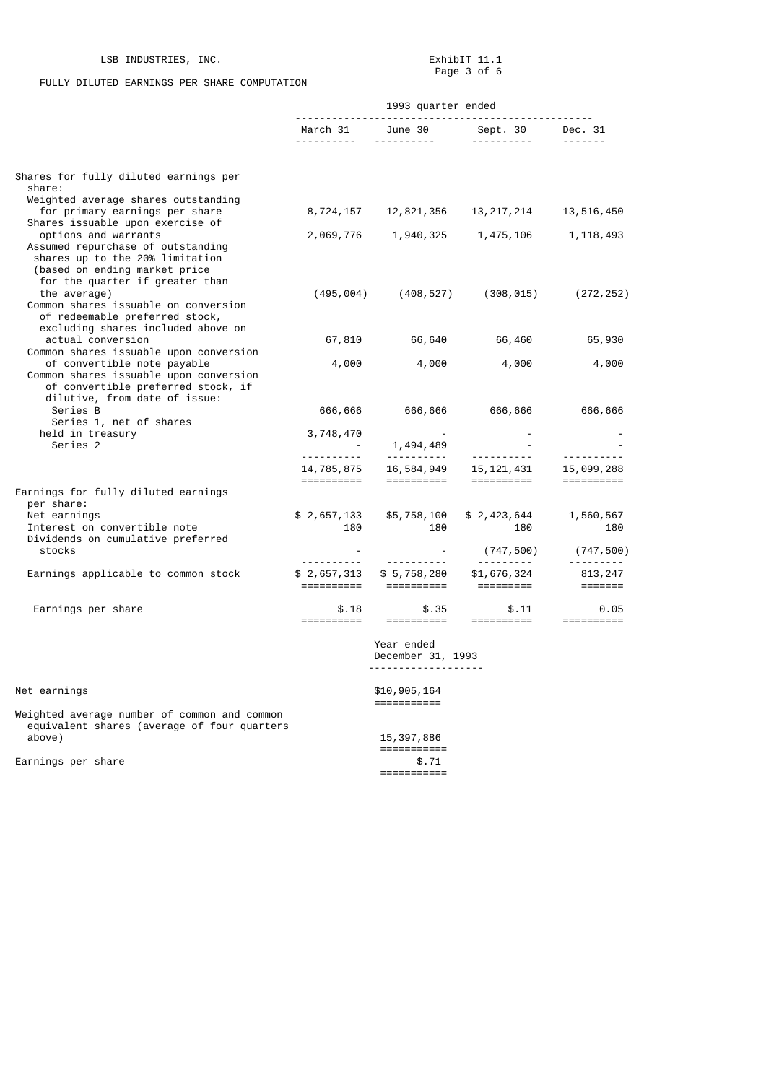## FULLY DILUTED EARNINGS PER SHARE COMPUTATION

|                                                                                                                                                            |                           | 1993 quarter ended                          |                                                                                                                                                                                                                                                          |                                                                                                                                                                                                                                                                                                                                                                                                                                                                                        |
|------------------------------------------------------------------------------------------------------------------------------------------------------------|---------------------------|---------------------------------------------|----------------------------------------------------------------------------------------------------------------------------------------------------------------------------------------------------------------------------------------------------------|----------------------------------------------------------------------------------------------------------------------------------------------------------------------------------------------------------------------------------------------------------------------------------------------------------------------------------------------------------------------------------------------------------------------------------------------------------------------------------------|
|                                                                                                                                                            |                           |                                             | March 31 June 30 Sept. 30 Dec. 31                                                                                                                                                                                                                        |                                                                                                                                                                                                                                                                                                                                                                                                                                                                                        |
| Shares for fully diluted earnings per                                                                                                                      |                           |                                             |                                                                                                                                                                                                                                                          |                                                                                                                                                                                                                                                                                                                                                                                                                                                                                        |
| share:<br>Weighted average shares outstanding<br>for primary earnings per share                                                                            |                           |                                             | 8,724,157    12,821,356    13,217,214                                                                                                                                                                                                                    | 13,516,450                                                                                                                                                                                                                                                                                                                                                                                                                                                                             |
| Shares issuable upon exercise of<br>options and warrants<br>Assumed repurchase of outstanding<br>shares up to the 20% limitation                           |                           |                                             | 2,069,776 1,940,325 1,475,106                                                                                                                                                                                                                            | 1,118,493                                                                                                                                                                                                                                                                                                                                                                                                                                                                              |
| (based on ending market price<br>for the quarter if greater than<br>the average)<br>Common shares issuable on conversion<br>of redeemable preferred stock, |                           |                                             | $(495, 004)$ $(408, 527)$ $(308, 015)$ $(272, 252)$                                                                                                                                                                                                      |                                                                                                                                                                                                                                                                                                                                                                                                                                                                                        |
| excluding shares included above on<br>actual conversion                                                                                                    |                           |                                             | 67,810 66,640 66,460                                                                                                                                                                                                                                     | 65,930                                                                                                                                                                                                                                                                                                                                                                                                                                                                                 |
| Common shares issuable upon conversion<br>of convertible note payable<br>Common shares issuable upon conversion<br>of convertible preferred stock, if      | 4,000                     | 4,000                                       | 4,000                                                                                                                                                                                                                                                    | 4,000                                                                                                                                                                                                                                                                                                                                                                                                                                                                                  |
| dilutive, from date of issue:<br>Series B<br>Series 1, net of shares                                                                                       |                           | 666,666 666,666                             | 666,666                                                                                                                                                                                                                                                  | 666,666                                                                                                                                                                                                                                                                                                                                                                                                                                                                                |
| held in treasury<br>Series 2                                                                                                                               | 3,748,470                 |                                             |                                                                                                                                                                                                                                                          |                                                                                                                                                                                                                                                                                                                                                                                                                                                                                        |
|                                                                                                                                                            |                           |                                             | $3, 748, 470$<br>$-1, 494, 489$<br>$-1, 785, 875$<br>$16, 584, 949$<br>$-15, 121, 431$<br>$-15, 099, 288$<br>$-15, 121, 431$<br>$-15, 099, 288$<br>$-15, 121, 431$<br>$-15, 099, 288$<br>$-15, 21, 431$<br>$-15, 099, 288$<br>$-15, 21, 431$<br>$-15, 0$ |                                                                                                                                                                                                                                                                                                                                                                                                                                                                                        |
| Earnings for fully diluted earnings<br>per share:                                                                                                          |                           |                                             |                                                                                                                                                                                                                                                          |                                                                                                                                                                                                                                                                                                                                                                                                                                                                                        |
| Net earnings<br>Interest on convertible note<br>Dividends on cumulative preferred<br>stocks                                                                | \$2,657,133<br>180        | \$5,758,100<br>180                          | \$2,423,644<br>180<br>(747,500)                                                                                                                                                                                                                          | 1,560,567<br>180<br>(747,500)                                                                                                                                                                                                                                                                                                                                                                                                                                                          |
| Earnings applicable to common stock                                                                                                                        | <u> - - - - - - - - -</u> | ___________<br>$$2,657,313$ $$5,758,280$    | =========                                                                                                                                                                                                                                                | $\begin{array}{cccccccccccccc} \multicolumn{2}{c}{} & \multicolumn{2}{c}{} & \multicolumn{2}{c}{} & \multicolumn{2}{c}{} & \multicolumn{2}{c}{} & \multicolumn{2}{c}{} & \multicolumn{2}{c}{} & \multicolumn{2}{c}{} & \multicolumn{2}{c}{} & \multicolumn{2}{c}{} & \multicolumn{2}{c}{} & \multicolumn{2}{c}{} & \multicolumn{2}{c}{} & \multicolumn{2}{c}{} & \multicolumn{2}{c}{} & \multicolumn{2}{c}{} & \multicolumn{2}{c}{} & \multicolumn{2}{c}{} & \multicolumn{2}{c}{} & \$ |
| Earnings per share                                                                                                                                         | \$.18<br>==========       |                                             |                                                                                                                                                                                                                                                          |                                                                                                                                                                                                                                                                                                                                                                                                                                                                                        |
|                                                                                                                                                            |                           | Year ended<br>December 31, 1993<br><u>.</u> |                                                                                                                                                                                                                                                          |                                                                                                                                                                                                                                                                                                                                                                                                                                                                                        |
| Net earnings                                                                                                                                               |                           | \$10,905,164                                |                                                                                                                                                                                                                                                          |                                                                                                                                                                                                                                                                                                                                                                                                                                                                                        |
| Weighted average number of common and common<br>equivalent shares (average of four quarters<br>above)                                                      |                           | 15, 397, 886                                |                                                                                                                                                                                                                                                          |                                                                                                                                                                                                                                                                                                                                                                                                                                                                                        |
| Earnings per share                                                                                                                                         |                           | ===========<br>\$.71<br>===========         |                                                                                                                                                                                                                                                          |                                                                                                                                                                                                                                                                                                                                                                                                                                                                                        |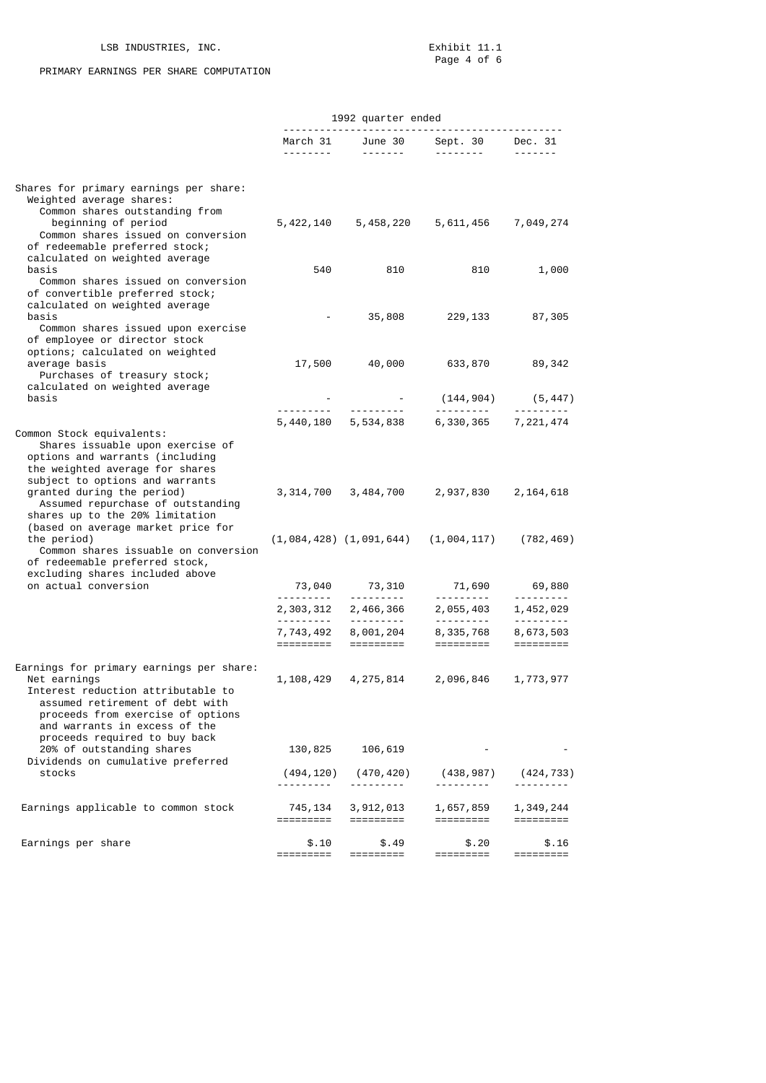## LSB INDUSTRIES, INC.

## PRIMARY EARNINGS PER SHARE COMPUTATION

|                                                                                                                                                                                                                                                                              |                             | 1992 quarter ended      |                                           |                                                   |
|------------------------------------------------------------------------------------------------------------------------------------------------------------------------------------------------------------------------------------------------------------------------------|-----------------------------|-------------------------|-------------------------------------------|---------------------------------------------------|
|                                                                                                                                                                                                                                                                              | <u> - - - - - - - - - -</u> |                         | March 31 June 30 Sept. 30<br>---------    | Dec. 31                                           |
| Shares for primary earnings per share:<br>Weighted average shares:<br>Common shares outstanding from<br>beginning of period<br>Common shares issued on conversion<br>of redeemable preferred stock;                                                                          | 5,422,140                   | 5,458,220               | 5,611,456                                 | 7,049,274                                         |
| calculated on weighted average<br>basis<br>Common shares issued on conversion                                                                                                                                                                                                | 540                         | 810                     | 810                                       | 1,000                                             |
| of convertible preferred stock;<br>calculated on weighted average<br>basis<br>Common shares issued upon exercise<br>of employee or director stock<br>options; calculated on weighted                                                                                         |                             | 35,808                  | 229,133                                   | 87,305                                            |
| average basis<br>Purchases of treasury stock;<br>calculated on weighted average                                                                                                                                                                                              | 17,500                      | 40,000                  | 633,870                                   | 89,342                                            |
| basis                                                                                                                                                                                                                                                                        |                             |                         | (144,904)                                 | (5, 447)                                          |
|                                                                                                                                                                                                                                                                              |                             | 5,440,180 5,534,838     | ---------<br>6,330,365                    | ---------<br>7, 221, 474                          |
| Common Stock equivalents:<br>Shares issuable upon exercise of<br>options and warrants (including<br>the weighted average for shares<br>subject to options and warrants<br>granted during the period)<br>Assumed repurchase of outstanding<br>shares up to the 20% limitation | 3,314,700                   | 3,484,700               | 2,937,830 2,164,618                       |                                                   |
| (based on average market price for<br>the period)<br>Common shares issuable on conversion<br>of redeemable preferred stock,<br>excluding shares included above                                                                                                               |                             |                         | $(1,084,428)$ $(1,091,644)$ $(1,004,117)$ | (782, 469)                                        |
| on actual conversion                                                                                                                                                                                                                                                         | 73,040                      | 73,310                  | 71,690                                    | 69,880                                            |
|                                                                                                                                                                                                                                                                              | .<br>2,303,312              | <u>.</u> .<br>2,466,366 | ----------<br>2,055,403                   | ---------<br>1,452,029                            |
|                                                                                                                                                                                                                                                                              | 7,743,492<br>=========      | 8,001,204<br>=========  | <u> - - - - - - - - -</u><br>8,335,768    | <u> - - - - - - - -</u><br>8,673,503<br>========= |
| Earnings for primary earnings per share:<br>Net earnings<br>Interest reduction attributable to<br>assumed retirement of debt with<br>proceeds from exercise of options<br>and warrants in excess of the                                                                      | 1,108,429                   | 4, 275, 814             | 2,096,846                                 | 1,773,977                                         |
| proceeds required to buy back<br>20% of outstanding shares<br>Dividends on cumulative preferred                                                                                                                                                                              | 130,825                     | 106,619                 |                                           |                                                   |
| stocks                                                                                                                                                                                                                                                                       | (494, 120)<br>.             | (470, 420)              | (438,987)<br>.                            | (424,733)                                         |
| Earnings applicable to common stock                                                                                                                                                                                                                                          | 745, 134<br>=========       | 3,912,013<br>=========  | 1,657,859<br>=========                    | 1,349,244                                         |
| Earnings per share                                                                                                                                                                                                                                                           | \$.10<br>$=$ ========       | \$.49<br>=========      | \$.20<br>=========                        | \$.16<br>=========                                |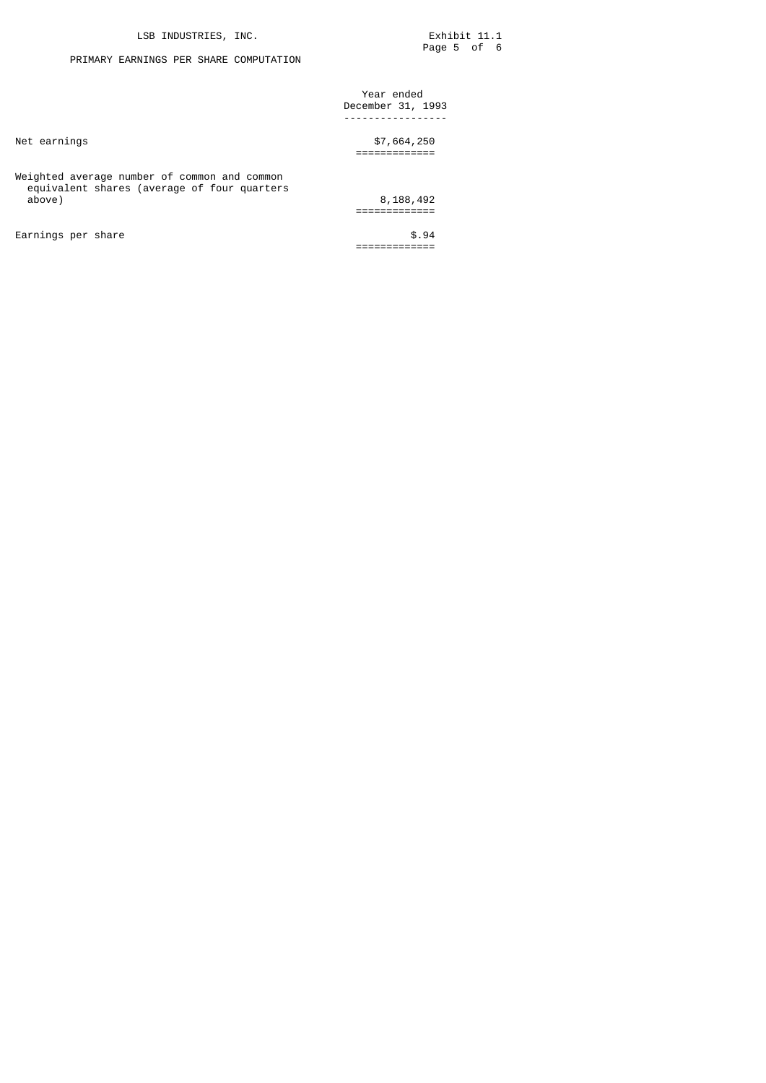# PRIMARY EARNINGS PER SHARE COMPUTATION

|                                                                                             | Year ended<br>December 31, 1993 |
|---------------------------------------------------------------------------------------------|---------------------------------|
|                                                                                             |                                 |
| Net earnings                                                                                | \$7,664,250                     |
|                                                                                             |                                 |
| Weighted average number of common and common<br>equivalent shares (average of four quarters |                                 |
| above)                                                                                      | 8,188,492                       |
|                                                                                             |                                 |
| Earnings per share                                                                          | \$.94                           |
|                                                                                             |                                 |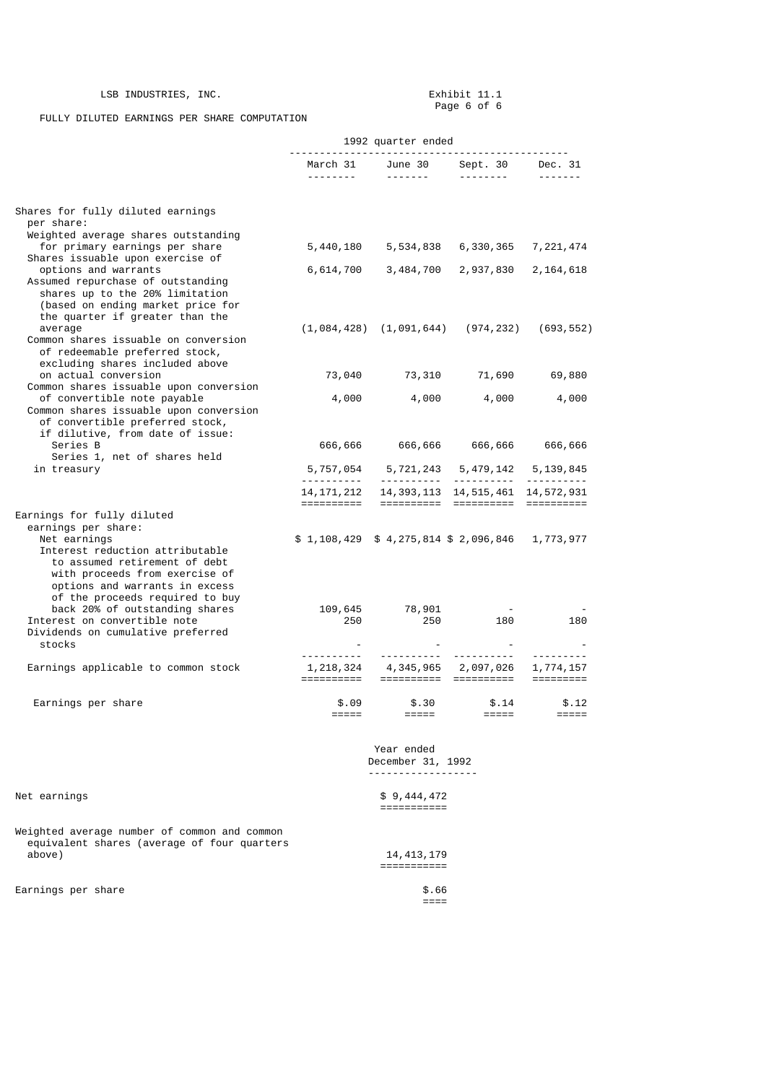# LSB INDUSTRIES, INC.

Exhibit 11.1<br>Page 6 of 6

FULLY DILUTED EARNINGS PER SHARE COMPUTATION

|                                                                                                                                                                                                                                                                                                                                                                                                                                                                                                                                                                                                                                                                                                                                                                                                                                                                                                                                                                                                                                                      | 1992 quarter ended<br>.        |                                                                                                                                                                                                                                                                                                                                                                                                                                                                                                   |                                                                 |                          |
|------------------------------------------------------------------------------------------------------------------------------------------------------------------------------------------------------------------------------------------------------------------------------------------------------------------------------------------------------------------------------------------------------------------------------------------------------------------------------------------------------------------------------------------------------------------------------------------------------------------------------------------------------------------------------------------------------------------------------------------------------------------------------------------------------------------------------------------------------------------------------------------------------------------------------------------------------------------------------------------------------------------------------------------------------|--------------------------------|---------------------------------------------------------------------------------------------------------------------------------------------------------------------------------------------------------------------------------------------------------------------------------------------------------------------------------------------------------------------------------------------------------------------------------------------------------------------------------------------------|-----------------------------------------------------------------|--------------------------|
|                                                                                                                                                                                                                                                                                                                                                                                                                                                                                                                                                                                                                                                                                                                                                                                                                                                                                                                                                                                                                                                      | March 31<br><u>.</u>           | June 30<br>$\begin{array}{cccccccccccccc} \multicolumn{2}{c}{} & \multicolumn{2}{c}{} & \multicolumn{2}{c}{} & \multicolumn{2}{c}{} & \multicolumn{2}{c}{} & \multicolumn{2}{c}{} & \multicolumn{2}{c}{} & \multicolumn{2}{c}{} & \multicolumn{2}{c}{} & \multicolumn{2}{c}{} & \multicolumn{2}{c}{} & \multicolumn{2}{c}{} & \multicolumn{2}{c}{} & \multicolumn{2}{c}{} & \multicolumn{2}{c}{} & \multicolumn{2}{c}{} & \multicolumn{2}{c}{} & \multicolumn{2}{c}{} & \multicolumn{2}{c}{} & \$ | Sept. 30<br><u> - - - - - - - - -</u>                           | Dec. 31<br>- - - - - - - |
| Shares for fully diluted earnings<br>per share:                                                                                                                                                                                                                                                                                                                                                                                                                                                                                                                                                                                                                                                                                                                                                                                                                                                                                                                                                                                                      |                                |                                                                                                                                                                                                                                                                                                                                                                                                                                                                                                   |                                                                 |                          |
| for primary earnings per share                                                                                                                                                                                                                                                                                                                                                                                                                                                                                                                                                                                                                                                                                                                                                                                                                                                                                                                                                                                                                       | 5,440,180                      | 5,534,838                                                                                                                                                                                                                                                                                                                                                                                                                                                                                         | 6,330,365                                                       | 7,221,474                |
| Weighted average shares outstanding<br>Shares issuable upon exercise of<br>options and warrants<br>Assumed repurchase of outstanding<br>shares up to the 20% limitation<br>(based on ending market price for<br>the quarter if greater than the<br>average<br>Common shares issuable on conversion<br>of redeemable preferred stock,<br>excluding shares included above<br>on actual conversion<br>Common shares issuable upon conversion<br>of convertible note payable<br>Common shares issuable upon conversion<br>of convertible preferred stock,<br>if dilutive, from date of issue:<br>Series B<br>Series 1, net of shares held<br>in treasury<br>earnings per share:<br>Net earnings<br>Interest reduction attributable<br>to assumed retirement of debt<br>with proceeds from exercise of<br>options and warrants in excess<br>of the proceeds required to buy<br>back 20% of outstanding shares<br>Interest on convertible note<br>Dividends on cumulative preferred<br>stocks<br>Earnings applicable to common stock<br>Earnings per share | 6,614,700                      | 3,484,700                                                                                                                                                                                                                                                                                                                                                                                                                                                                                         | 2,937,830                                                       | 2, 164, 618              |
|                                                                                                                                                                                                                                                                                                                                                                                                                                                                                                                                                                                                                                                                                                                                                                                                                                                                                                                                                                                                                                                      |                                | $(1,084,428)$ $(1,091,644)$                                                                                                                                                                                                                                                                                                                                                                                                                                                                       | (974,232)                                                       | (693, 552)               |
|                                                                                                                                                                                                                                                                                                                                                                                                                                                                                                                                                                                                                                                                                                                                                                                                                                                                                                                                                                                                                                                      | 73,040                         | 73,310                                                                                                                                                                                                                                                                                                                                                                                                                                                                                            | 71,690                                                          | 69,880                   |
| Earnings for fully diluted<br>Net earnings                                                                                                                                                                                                                                                                                                                                                                                                                                                                                                                                                                                                                                                                                                                                                                                                                                                                                                                                                                                                           | 4,000                          | 4,000                                                                                                                                                                                                                                                                                                                                                                                                                                                                                             | 4,000                                                           | 4,000                    |
|                                                                                                                                                                                                                                                                                                                                                                                                                                                                                                                                                                                                                                                                                                                                                                                                                                                                                                                                                                                                                                                      | 666,666                        | 666,666                                                                                                                                                                                                                                                                                                                                                                                                                                                                                           | 666,666                                                         | 666,666                  |
|                                                                                                                                                                                                                                                                                                                                                                                                                                                                                                                                                                                                                                                                                                                                                                                                                                                                                                                                                                                                                                                      | <u> - - - - - - - - - -</u>    | 5,757,054 5,721,243 5,479,142 5,139,845<br><u> - - - - - - - - - - - -</u>                                                                                                                                                                                                                                                                                                                                                                                                                        | <u>.</u>                                                        | ----------               |
|                                                                                                                                                                                                                                                                                                                                                                                                                                                                                                                                                                                                                                                                                                                                                                                                                                                                                                                                                                                                                                                      | 14, 171, 212<br>==========     |                                                                                                                                                                                                                                                                                                                                                                                                                                                                                                   | 14, 393, 113 14, 515, 461 14, 572, 931<br>===================== | $=$ ==========           |
|                                                                                                                                                                                                                                                                                                                                                                                                                                                                                                                                                                                                                                                                                                                                                                                                                                                                                                                                                                                                                                                      |                                | $$1,108,429$ $$4,275,814$ $$2,096,846$                                                                                                                                                                                                                                                                                                                                                                                                                                                            |                                                                 | 1,773,977                |
|                                                                                                                                                                                                                                                                                                                                                                                                                                                                                                                                                                                                                                                                                                                                                                                                                                                                                                                                                                                                                                                      | 109,645<br>250                 | 78,901<br>250                                                                                                                                                                                                                                                                                                                                                                                                                                                                                     | 180                                                             | 180                      |
|                                                                                                                                                                                                                                                                                                                                                                                                                                                                                                                                                                                                                                                                                                                                                                                                                                                                                                                                                                                                                                                      | .<br>1, 218, 324<br>========== | <u>.</u><br>4,345,965                                                                                                                                                                                                                                                                                                                                                                                                                                                                             | ___________<br>2,097,026<br>=======================             | 1,774,157                |
|                                                                                                                                                                                                                                                                                                                                                                                                                                                                                                                                                                                                                                                                                                                                                                                                                                                                                                                                                                                                                                                      | \$.09                          | \$.30                                                                                                                                                                                                                                                                                                                                                                                                                                                                                             | \$.14                                                           | \$.12<br>$=====$         |
|                                                                                                                                                                                                                                                                                                                                                                                                                                                                                                                                                                                                                                                                                                                                                                                                                                                                                                                                                                                                                                                      |                                | Year ended<br>December 31, 1992<br><u>.</u>                                                                                                                                                                                                                                                                                                                                                                                                                                                       |                                                                 |                          |
|                                                                                                                                                                                                                                                                                                                                                                                                                                                                                                                                                                                                                                                                                                                                                                                                                                                                                                                                                                                                                                                      |                                | \$9,444,472<br>===========                                                                                                                                                                                                                                                                                                                                                                                                                                                                        |                                                                 |                          |

Weighted average number of common and common equivalent shares (average of four quarters above) 14,413,179

| Earnings per share |  |  | \$.66         |
|--------------------|--|--|---------------|
|                    |  |  | ----<br>_____ |

====

===========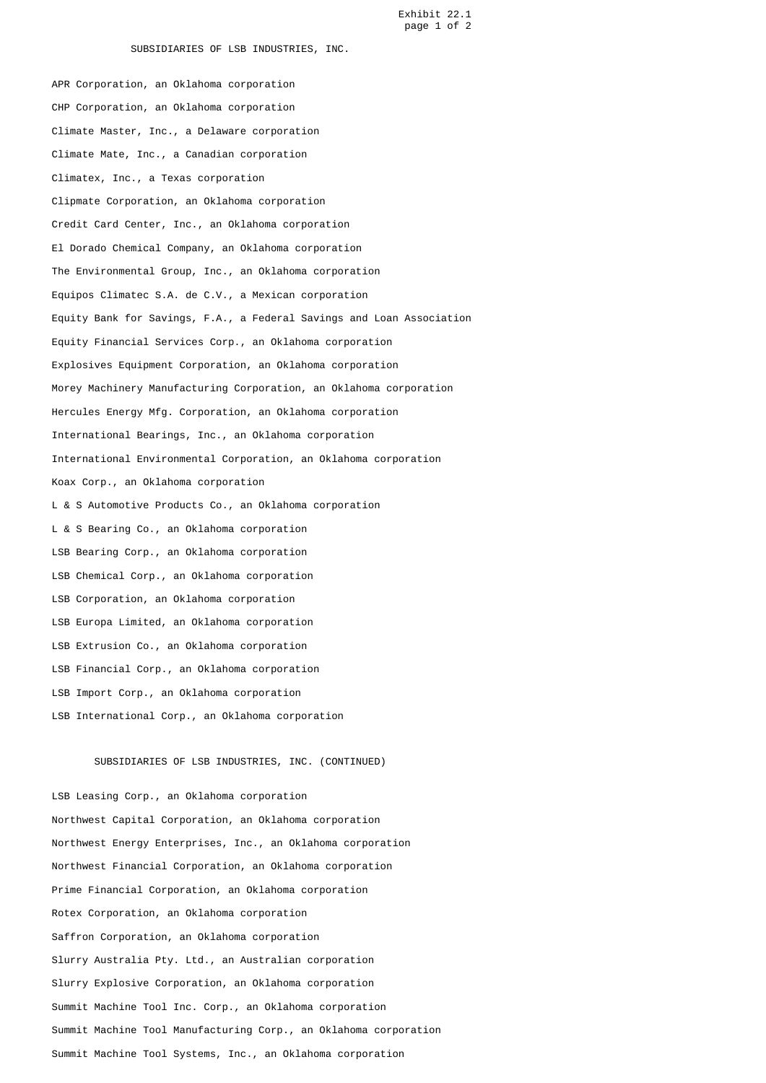Exhibit 22.1 page 1 of 2

### SUBSIDIARIES OF LSB INDUSTRIES, INC.

 APR Corporation, an Oklahoma corporation CHP Corporation, an Oklahoma corporation Climate Master, Inc., a Delaware corporation Climate Mate, Inc., a Canadian corporation Climatex, Inc., a Texas corporation Clipmate Corporation, an Oklahoma corporation Credit Card Center, Inc., an Oklahoma corporation El Dorado Chemical Company, an Oklahoma corporation The Environmental Group, Inc., an Oklahoma corporation Equipos Climatec S.A. de C.V., a Mexican corporation Equity Bank for Savings, F.A., a Federal Savings and Loan Association Equity Financial Services Corp., an Oklahoma corporation Explosives Equipment Corporation, an Oklahoma corporation Morey Machinery Manufacturing Corporation, an Oklahoma corporation Hercules Energy Mfg. Corporation, an Oklahoma corporation International Bearings, Inc., an Oklahoma corporation International Environmental Corporation, an Oklahoma corporation Koax Corp., an Oklahoma corporation L & S Automotive Products Co., an Oklahoma corporation L & S Bearing Co., an Oklahoma corporation LSB Bearing Corp., an Oklahoma corporation LSB Chemical Corp., an Oklahoma corporation LSB Corporation, an Oklahoma corporation LSB Europa Limited, an Oklahoma corporation LSB Extrusion Co., an Oklahoma corporation LSB Financial Corp., an Oklahoma corporation LSB Import Corp., an Oklahoma corporation LSB International Corp., an Oklahoma corporation

#### SUBSIDIARIES OF LSB INDUSTRIES, INC. (CONTINUED)

 LSB Leasing Corp., an Oklahoma corporation Northwest Capital Corporation, an Oklahoma corporation Northwest Energy Enterprises, Inc., an Oklahoma corporation Northwest Financial Corporation, an Oklahoma corporation Prime Financial Corporation, an Oklahoma corporation Rotex Corporation, an Oklahoma corporation Saffron Corporation, an Oklahoma corporation Slurry Australia Pty. Ltd., an Australian corporation Slurry Explosive Corporation, an Oklahoma corporation Summit Machine Tool Inc. Corp., an Oklahoma corporation Summit Machine Tool Manufacturing Corp., an Oklahoma corporation Summit Machine Tool Systems, Inc., an Oklahoma corporation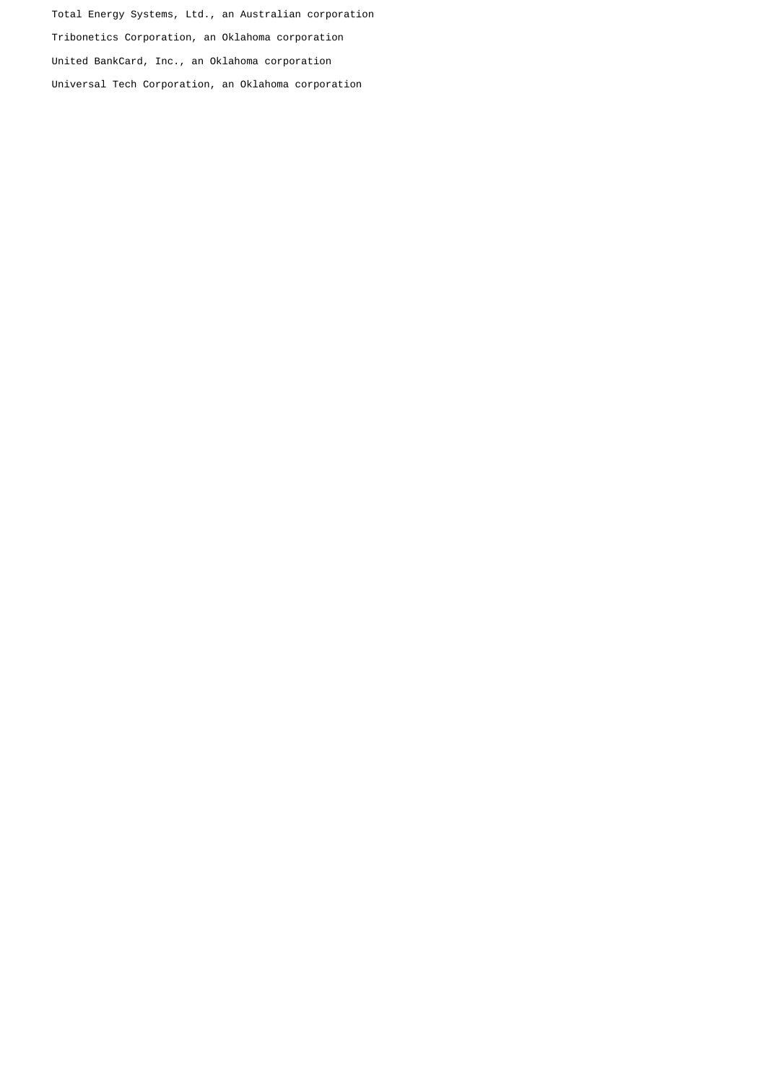Total Energy Systems, Ltd., an Australian corporation Tribonetics Corporation, an Oklahoma corporation United BankCard, Inc., an Oklahoma corporation Universal Tech Corporation, an Oklahoma corporation